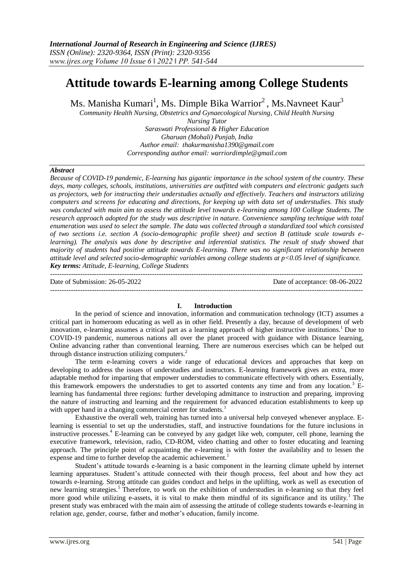# **Attitude towards E-learning among College Students**

Ms. Manisha Kumari<sup>1</sup>, Ms. Dimple Bika Warrior<sup>2</sup>, Ms.Navneet Kaur<sup>3</sup>

*Community Health Nursing, Obstetrics and Gynaecological Nursing, Child Health Nursing* 

*Nursing Tutor Saraswati Professional & Higher Education Gharuan (Mohali) Punjab, India Author email: [thakurmanisha1390@gmail.com](mailto:thakurmanisha1390@gmail.com) Corresponding author email: warriordimple@gmail.com*

#### *Abstract*

*Because of COVID-19 pandemic, E-learning has gigantic importance in the school system of the country. These days, many colleges, schools, institutions, universities are outfitted with computers and electronic gadgets such as projectors, web for instructing their understudies actually and effectively. Teachers and instructors utilizing computers and screens for educating and directions, for keeping up with data set of understudies. This study was conducted with main aim to assess the attitude level towards e-learning among 100 College Students. The research approach adopted for the study was descriptive in nature. Convenience sampling technique with total enumeration was used to select the sample. The data was collected through a standardized tool which consisted of two sections i.e. section A (socio-demographic profile sheet) and section B (attitude scale towards elearning). The analysis was done by descriptive and inferential statistics. The result of study showed that majority of students had positive attitude towards E-learning. There was no significant relationship between attitude level and selected socio-demographic variables among college students at p<0.05 level of significance. Key terms: Attitude, E-learning, College Students*

Date of Submission: 26-05-2022 Date of acceptance: 08-06-2022 ---------------------------------------------------------------------------------------------------------------------------------------

### **I. Introduction**

---------------------------------------------------------------------------------------------------------------------------------------

In the period of science and innovation, information and communication technology (ICT) assumes a critical part in homeroom educating as well as in other field. Presently a day, because of development of web innovation, e-learning assumes a critical part as a learning approach of higher instructive institutions.<sup>1</sup> Due to COVID-19 pandemic, numerous nations all over the planet proceed with guidance with Distance learning, Online advancing rather than conventional learning. There are numerous exercises which can be helped out through distance instruction utilizing computers.<sup>2</sup>

The term e-learning covers a wide range of educational devices and approaches that keep on developing to address the issues of understudies and instructors. E-learning framework gives an extra, more adaptable method for imparting that empower understudies to communicate effectively with others. Essentially, this framework empowers the understudies to get to assorted contents any time and from any location.<sup>3</sup> Elearning has fundamental three regions: further developing admittance to instruction and preparing, improving the nature of instructing and learning and the requirement for advanced education establishments to keep up with upper hand in a changing commercial center for students.

Exhaustive the overall web, training has turned into a universal help conveyed whenever anyplace. Elearning is essential to set up the understudies, staff, and instructive foundations for the future inclusions in instructive processes.<sup>4</sup> E-learning can be conveyed by any gadget like web, computer, cell phone, learning the executive framework, television, radio, CD-ROM, video chatting and other to foster educating and learning approach. The principle point of acquainting the e-learning is with foster the availability and to lessen the expense and time to further develop the academic achievement.<sup>1</sup>

Student's attitude towards e-learning is a basic component in the learning climate upheld by internet learning apparatuses. Student's attitude connected with their though process, feel about and how they act towards e-learning. Strong attitude can guides conduct and helps in the uplifting, work as well as execution of new learning strategies.<sup>5</sup>Therefore, to work on the exhibition of understudies in e-learning so that they feel more good while utilizing e-assets, it is vital to make them mindful of its significance and its utility.<sup>1</sup> The present study was embraced with the main aim of assessing the attitude of college students towards e-learning in relation age, gender, course, father and mother's education, family income.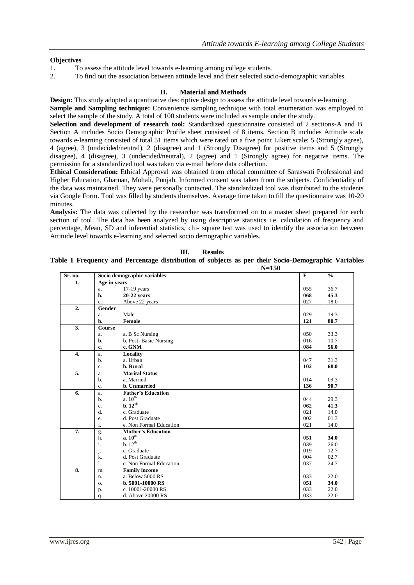## **Objectives**

- 1. To assess the attitude level towards e-learning among college students.
- 2. To find out the association between attitude level and their selected socio-demographic variables.

## **II. Material and Methods**

**Design:** This study adopted a quantitative descriptive design to assess the attitude level towards e-learning. **Sample and Sampling technique:** Convenience sampling technique with total enumeration was employed to select the sample of the study. A total of 100 students were included as sample under the study.

**Selection and development of research tool:** Standardized questionnaire consisted of 2 sections-A and B. Section A includes Socio Demographic Profile sheet consisted of 8 items. Section B includes Attitude scale towards e-learning consisted of total 51 items which were rated on a five point Likert scale: 5 (Strongly agree), 4 (agree), 3 (undecided/neutral), 2 (disagree) and 1 (Strongly Disagree) for positive items and 5 (Strongly disagree), 4 (disagree), 3 (undecided/neutral), 2 (agree) and 1 (Strongly agree) for negative items. The permission for a standardized tool was taken via e-mail before data collection.

**Ethical Consideration:** Ethical Approval was obtained from ethical committee of Saraswati Professional and Higher Education, Gharuan, Mohali, Punjab. Informed consent was taken from the subjects. Confidentiality of the data was maintained. They were personally contacted. The standardized tool was distributed to the students via Google Form. Tool was filled by students themselves. Average time taken to fill the questionnaire was 10-20 minutes.

**Analysis:** The data was collected by the researcher was transformed on to a master sheet prepared for each section of tool. The data has been analyzed by using descriptive statistics i.e. calculation of frequency and percentage, Mean, SD and inferential statistics, chi- square test was used to identify the association between Attitude level towards e-learning and selected socio demographic variables.

| Sr. no.          | Socio demographic variables     |                         | $\mathbf{F}$ | $\frac{0}{0}$ |
|------------------|---------------------------------|-------------------------|--------------|---------------|
| 1.               | Age in years                    |                         |              |               |
|                  | 17-19 years<br>a.               |                         | 055          | 36.7          |
|                  | b.<br>$20-22$ years             |                         | 068          | 45.3          |
|                  | Above 22 years<br>c.            |                         | 027          | 18.0          |
| 2.               | Gender                          |                         |              |               |
|                  | Male<br>a.                      |                         | 029          | 19.3          |
|                  | Female<br>b.                    |                         | 121          | 80.7          |
| $\overline{3}$ . | <b>Course</b>                   |                         |              |               |
|                  | a. B Sc Nursing<br>a.           |                         | 050          | 33.3          |
|                  | b.<br>b. Post-Basic Nursing     |                         | 016          | 10.7          |
|                  | c. GNM<br>c.                    |                         | 084          | 56.0          |
| $\overline{4}$ . | Locality<br>a.                  |                         |              |               |
|                  | a. Urban<br>$b$                 |                         | 047          | 31.3          |
|                  | b. Rural<br>c.                  |                         | 102          | 68.0          |
| 5.               | <b>Marital Status</b><br>a.     |                         |              |               |
|                  | a. Married<br>$b$               |                         | 014          | 09.3          |
|                  | b. Unmarried<br>c.              |                         | 136          | 90.7          |
| 6.               | <b>Father's Education</b><br>a. |                         |              |               |
|                  | a. 10 <sup>th</sup><br>$b$      |                         | 044          | 29.3          |
|                  | b.12 <sup>th</sup><br>c.        |                         | 062          | 41.3          |
|                  | d.<br>c. Graduate               |                         | 021          | 14.0          |
|                  | d. Post Graduate<br>e.          |                         | 002          | 01.3          |
|                  | f.                              | e. Non Formal Education | 021          | 14.0          |
| $\overline{7}$ . | <b>Mother's Education</b><br>g. |                         |              |               |
|                  | a. $10^{\text{th}}$<br>h.       |                         | 051          | 34.0          |
|                  | i.<br>b. 12 <sup>th</sup>       |                         | 039          | 26.0          |
|                  | j.<br>c. Graduate               |                         | 019          | 12.7          |
|                  | k.<br>d. Post Graduate          |                         | 004          | 02.7          |
|                  | $\mathbf{1}$ .                  | e. Non Formal Education | 037          | 24.7          |
| 8.               | <b>Family income</b><br>m.      |                         |              |               |
|                  | a. Below 5000 RS<br>n.          |                         | 033          | 22.0          |
|                  | b. 5001-10000 RS<br>$\Omega$ .  |                         | 051          | 34.0          |
|                  | c. 10001-20000 RS<br>p.         |                         | 033          | 22.0          |
|                  | d. Above 20000 RS<br>q.         |                         | 033          | 22.0          |

**Table 1 Frequency and Percentage distribution of subjects as per their Socio-Demographic Variables N=150**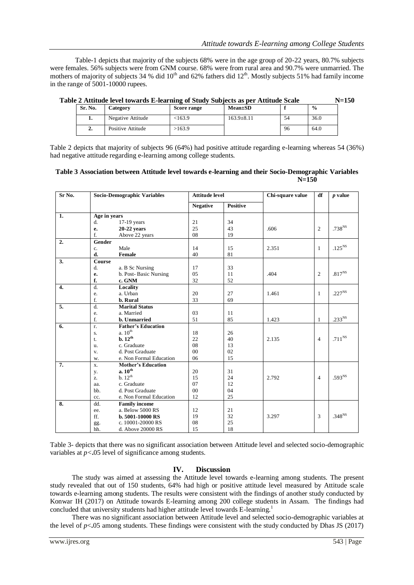Table-1 depicts that majority of the subjects 68% were in the age group of 20-22 years, 80.7% subjects were females. 56% subjects were from GNM course. 68% were from rural area and 90.7% were unmarried. The mothers of majority of subjects 34 % did  $10<sup>th</sup>$  and 62% fathers did  $12<sup>th</sup>$ . Mostly subjects 51% had family income in the range of 5001-10000 rupees.

|  |  |  |  | Table 2 Attitude level towards E-learning of Study Subjects as per Attitude Scale | $N = 150$ |
|--|--|--|--|-----------------------------------------------------------------------------------|-----------|
|--|--|--|--|-----------------------------------------------------------------------------------|-----------|

| Sr. No. | Category          | Score range | $Mean \pm SD$    |    | $\frac{0}{0}$ |
|---------|-------------------|-------------|------------------|----|---------------|
|         | Negative Attitude | < 163.9     | $163.9 \pm 8.11$ | 54 | 36.0          |
| ٠.      | Positive Attitude | >163.9      |                  | 96 | 64.0          |

Table 2 depicts that majority of subjects 96 (64%) had positive attitude regarding e-learning whereas 54 (36%) had negative attitude regarding e-learning among college students.

## **Table 3 Association between Attitude level towards e-learning and their Socio-Demographic Variables N=150**

| Sr No.           | <b>Socio-Demographic Variables</b> |                           | <b>Attitude level</b> |                 | Chi-square value | df             | $p$ value       |
|------------------|------------------------------------|---------------------------|-----------------------|-----------------|------------------|----------------|-----------------|
|                  |                                    |                           | <b>Negative</b>       | <b>Positive</b> |                  |                |                 |
| 1.               | Age in years                       |                           |                       |                 |                  |                |                 |
|                  | d.                                 | $17-19$ years             | 21                    | 34              |                  |                |                 |
|                  | e.                                 | 20-22 years               | 25                    | 43              | .606             | $\overline{2}$ | $.738^{NS}$     |
|                  | f.                                 | Above 22 years            | 08                    | 19              |                  |                |                 |
| 2.               | Gender                             |                           |                       |                 |                  |                |                 |
|                  | c.                                 | Male                      | 14                    | 15              | 2.351            | $\mathbf{1}$   | $.125NS$        |
|                  | d.                                 | Female                    | 40                    | 81              |                  |                |                 |
| 3.               | Course                             |                           |                       |                 |                  |                |                 |
|                  | d.                                 | a. B Sc Nursing           | 17                    | 33              |                  |                |                 |
|                  | е.                                 | b. Post-Basic Nursing     | 05                    | 11              | .404             | $\overline{2}$ | $.817^{\rm NS}$ |
|                  | f.                                 | c. GNM                    | 32                    | 52              |                  |                |                 |
| $\overline{4}$ . | d.                                 | Locality                  |                       |                 |                  |                |                 |
|                  | e.                                 | a. Urban                  | 20                    | 27              | 1.461            | $\mathbf{1}$   | $.227^{NS}$     |
|                  | f.                                 | b. Rural                  | 33                    | 69              |                  |                |                 |
| 5.               | d.                                 | <b>Marital Status</b>     |                       |                 |                  |                |                 |
|                  | e.                                 | a. Married                | 03                    | 11              |                  |                |                 |
|                  | f.                                 | b. Unmarried              | 51                    | 85              | 1.423            | $\mathbf{1}$   | $.233^{NS}$     |
| 6.               | $\mathbf{r}$ .                     | <b>Father's Education</b> |                       |                 |                  |                |                 |
|                  | S.                                 | a. $10^{\rm th}$          | 18                    | 26              |                  |                |                 |
|                  | t.                                 | b. 12 <sup>th</sup>       | 22                    | 40              | 2.135            | $\overline{4}$ | $.711^{\rm NS}$ |
|                  | u.                                 | c. Graduate               | 08                    | 13              |                  |                |                 |
|                  | V.                                 | d. Post Graduate          | 00                    | 02              |                  |                |                 |
|                  | W.                                 | e. Non Formal Education   | 06                    | 15              |                  |                |                 |
| 7.               | X.                                 | <b>Mother's Education</b> |                       |                 |                  |                |                 |
|                  | у.                                 | a. $10^{\text{th}}$       | 20                    | 31              |                  |                |                 |
|                  | z.                                 | b.12 <sup>th</sup>        | 15                    | 24              | 2.792            | $\overline{4}$ | $.593^{NS}$     |
|                  | aa.                                | c. Graduate               | 07                    | 12              |                  |                |                 |
|                  | bb.                                | d. Post Graduate          | 00                    | 04              |                  |                |                 |
|                  | cc.                                | e. Non Formal Education   | 12                    | 25              |                  |                |                 |
| 8.               | dd.                                | <b>Family income</b>      |                       |                 |                  |                |                 |
|                  | ee.                                | a. Below 5000 RS          | 12                    | 21              |                  |                |                 |
|                  | ff.                                | b. 5001-10000 RS          | 19                    | 32              | 3.297            | 3              | $.348^{NS}$     |
|                  | gg.                                | c. 10001-20000 RS         | 08                    | 25              |                  |                |                 |
|                  | hh.                                | d. Above 20000 RS         | 15                    | 18              |                  |                |                 |

Table 3- depicts that there was no significant association between Attitude level and selected socio-demographic variables at  $p < .05$  level of significance among students.

## **IV. Discussion**

The study was aimed at assessing the Attitude level towards e-learning among students. The present study revealed that out of 150 students, 64% had high or positive attitude level measured by Attitude scale towards e-learning among students. The results were consistent with the findings of another study conducted by Konwar IH (2017) on Attitude towards E-learning among 200 college students in Assam. The findings had concluded that university students had higher attitude level towards E-learning.<sup>1</sup>

There was no significant association between Attitude level and selected socio-demographic variables at the level of  $p < 0.05$  among students. These findings were consistent with the study conducted by Dhas JS (2017)